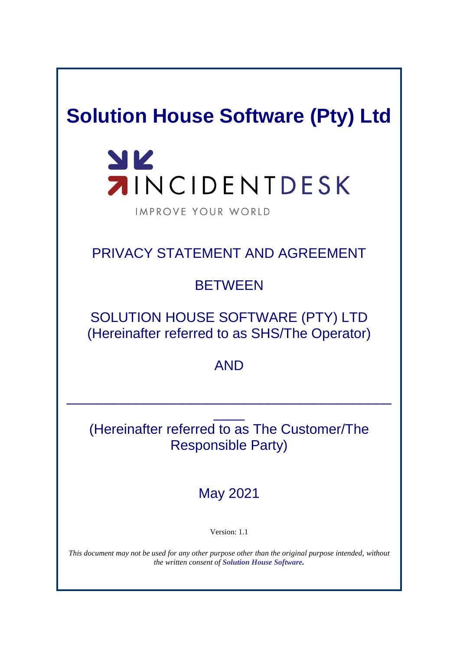## **Solution House Software (Pty) Ltd**

# YK **AINCIDENTDESK**

IMPROVE YOUR WORLD

## PRIVACY STATEMENT AND AGREEMENT

## **BETWEEN**

SOLUTION HOUSE SOFTWARE (PTY) LTD (Hereinafter referred to as SHS/The Operator)

### AND

\_\_\_\_\_\_\_\_\_\_\_\_\_\_\_\_\_\_\_\_\_\_\_\_\_\_\_\_\_\_\_\_\_\_\_\_\_\_\_\_\_\_

 $\overline{\phantom{a}}$ 

(Hereinafter referred to as The Customer/The Responsible Party)

## May 2021

Version: 1.1

*This document may not be used for any other purpose other than the original purpose intended, without the written consent of Solution House Software.*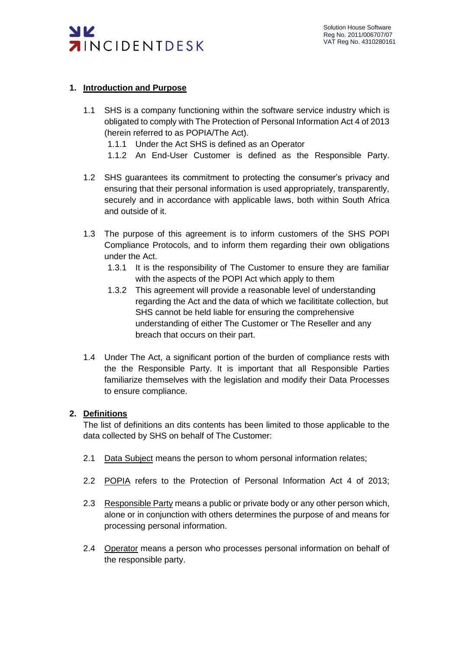

#### **1. Introduction and Purpose**

- 1.1 SHS is a company functioning within the software service industry which is obligated to comply with The Protection of Personal Information Act 4 of 2013 (herein referred to as POPIA/The Act).
	- 1.1.1 Under the Act SHS is defined as an Operator
	- 1.1.2 An End-User Customer is defined as the Responsible Party.
- 1.2 SHS guarantees its commitment to protecting the consumer's privacy and ensuring that their personal information is used appropriately, transparently, securely and in accordance with applicable laws, both within South Africa and outside of it.
- 1.3 The purpose of this agreement is to inform customers of the SHS POPI Compliance Protocols, and to inform them regarding their own obligations under the Act.
	- 1.3.1 It is the responsibility of The Customer to ensure they are familiar with the aspects of the POPI Act which apply to them
	- 1.3.2 This agreement will provide a reasonable level of understanding regarding the Act and the data of which we facilititate collection, but SHS cannot be held liable for ensuring the comprehensive understanding of either The Customer or The Reseller and any breach that occurs on their part.
- 1.4 Under The Act, a significant portion of the burden of compliance rests with the the Responsible Party. It is important that all Responsible Parties familiarize themselves with the legislation and modify their Data Processes to ensure compliance.

#### **2. Definitions**

The list of definitions an dits contents has been limited to those applicable to the data collected by SHS on behalf of The Customer:

- 2.1 Data Subject means the person to whom personal information relates;
- 2.2 POPIA refers to the Protection of Personal Information Act 4 of 2013;
- 2.3 Responsible Party means a public or private body or any other person which, alone or in conjunction with others determines the purpose of and means for processing personal information.
- 2.4 Operator means a person who processes personal information on behalf of the responsible party.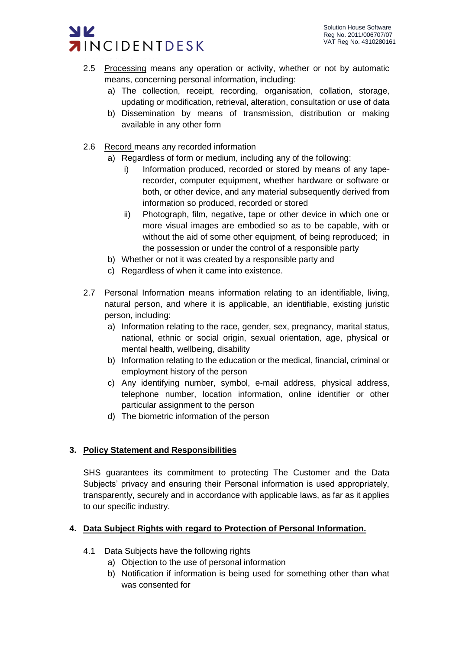

- 2.5 Processing means any operation or activity, whether or not by automatic means, concerning personal information, including:
	- a) The collection, receipt, recording, organisation, collation, storage, updating or modification, retrieval, alteration, consultation or use of data
	- b) Dissemination by means of transmission, distribution or making available in any other form
- 2.6 Record means any recorded information
	- a) Regardless of form or medium, including any of the following:
		- i) Information produced, recorded or stored by means of any taperecorder, computer equipment, whether hardware or software or both, or other device, and any material subsequently derived from information so produced, recorded or stored
		- ii) Photograph, film, negative, tape or other device in which one or more visual images are embodied so as to be capable, with or without the aid of some other equipment, of being reproduced; in the possession or under the control of a responsible party
	- b) Whether or not it was created by a responsible party and
	- c) Regardless of when it came into existence.
- 2.7 Personal Information means information relating to an identifiable, living, natural person, and where it is applicable, an identifiable, existing juristic person, including:
	- a) Information relating to the race, gender, sex, pregnancy, marital status, national, ethnic or social origin, sexual orientation, age, physical or mental health, wellbeing, disability
	- b) Information relating to the education or the medical, financial, criminal or employment history of the person
	- c) Any identifying number, symbol, e-mail address, physical address, telephone number, location information, online identifier or other particular assignment to the person
	- d) The biometric information of the person

#### **3. Policy Statement and Responsibilities**

SHS guarantees its commitment to protecting The Customer and the Data Subjects' privacy and ensuring their Personal information is used appropriately, transparently, securely and in accordance with applicable laws, as far as it applies to our specific industry.

#### **4. Data Subject Rights with regard to Protection of Personal Information.**

- 4.1 Data Subjects have the following rights
	- a) Objection to the use of personal information
	- b) Notification if information is being used for something other than what was consented for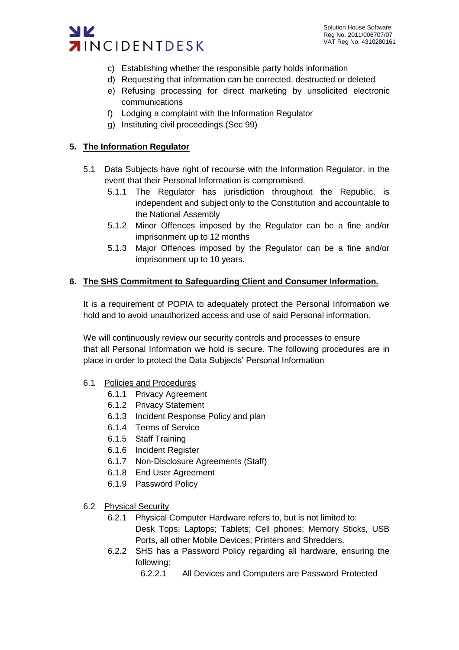

- c) Establishing whether the responsible party holds information
- d) Requesting that information can be corrected, destructed or deleted
- e) Refusing processing for direct marketing by unsolicited electronic communications
- f) Lodging a complaint with the Information Regulator
- g) Instituting civil proceedings.(Sec 99)

#### **5. The Information Regulator**

- 5.1 Data Subjects have right of recourse with the Information Regulator, in the event that their Personal Information is compromised.
	- 5.1.1 The Regulator has jurisdiction throughout the Republic, is independent and subject only to the Constitution and accountable to the National Assembly
	- 5.1.2 Minor Offences imposed by the Regulator can be a fine and/or imprisonment up to 12 months
	- 5.1.3 Major Offences imposed by the Regulator can be a fine and/or imprisonment up to 10 years.

#### **6. The SHS Commitment to Safeguarding Client and Consumer Information.**

It is a requirement of POPIA to adequately protect the Personal Information we hold and to avoid unauthorized access and use of said Personal information.

We will continuously review our security controls and processes to ensure that all Personal Information we hold is secure. The following procedures are in place in order to protect the Data Subjects' Personal Information

#### 6.1 Policies and Procedures

- 6.1.1 Privacy Agreement
- 6.1.2 Privacy Statement
- 6.1.3 Incident Response Policy and plan
- 6.1.4 Terms of Service
- 6.1.5 Staff Training
- 6.1.6 Incident Register
- 6.1.7 Non-Disclosure Agreements (Staff)
- 6.1.8 End User Agreement
- 6.1.9 Password Policy
- 6.2 Physical Security
	- 6.2.1 Physical Computer Hardware refers to, but is not limited to:
		- Desk Tops; Laptops; Tablets; Cell phones; Memory Sticks, USB Ports, all other Mobile Devices; Printers and Shredders.
	- 6.2.2 SHS has a Password Policy regarding all hardware, ensuring the following:
		- 6.2.2.1 All Devices and Computers are Password Protected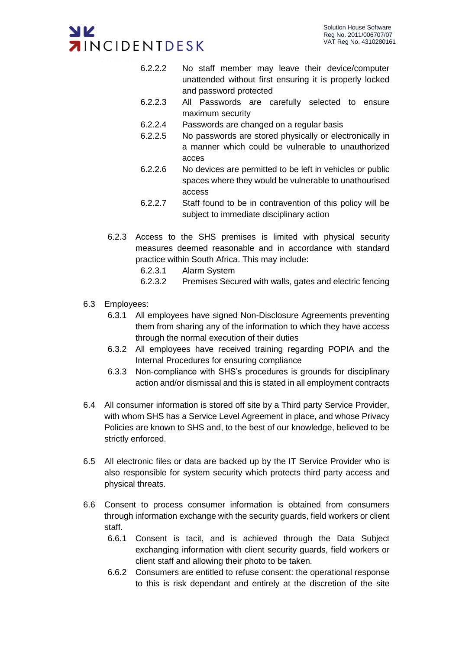

- 6.2.2.2 No staff member may leave their device/computer unattended without first ensuring it is properly locked and password protected
- 6.2.2.3 All Passwords are carefully selected to ensure maximum security
- 6.2.2.4 Passwords are changed on a regular basis
- 6.2.2.5 No passwords are stored physically or electronically in a manner which could be vulnerable to unauthorized acces
- 6.2.2.6 No devices are permitted to be left in vehicles or public spaces where they would be vulnerable to unathourised access
- 6.2.2.7 Staff found to be in contravention of this policy will be subject to immediate disciplinary action
- 6.2.3 Access to the SHS premises is limited with physical security measures deemed reasonable and in accordance with standard practice within South Africa. This may include:
	- 6.2.3.1 Alarm System
	- 6.2.3.2 Premises Secured with walls, gates and electric fencing
- 6.3 Employees:
	- 6.3.1 All employees have signed Non-Disclosure Agreements preventing them from sharing any of the information to which they have access through the normal execution of their duties
	- 6.3.2 All employees have received training regarding POPIA and the Internal Procedures for ensuring compliance
	- 6.3.3 Non-compliance with SHS's procedures is grounds for disciplinary action and/or dismissal and this is stated in all employment contracts
- 6.4 All consumer information is stored off site by a Third party Service Provider, with whom SHS has a Service Level Agreement in place, and whose Privacy Policies are known to SHS and, to the best of our knowledge, believed to be strictly enforced.
- 6.5 All electronic files or data are backed up by the IT Service Provider who is also responsible for system security which protects third party access and physical threats.
- 6.6 Consent to process consumer information is obtained from consumers through information exchange with the security guards, field workers or client staff.
	- 6.6.1 Consent is tacit, and is achieved through the Data Subject exchanging information with client security guards, field workers or client staff and allowing their photo to be taken.
	- 6.6.2 Consumers are entitled to refuse consent: the operational response to this is risk dependant and entirely at the discretion of the site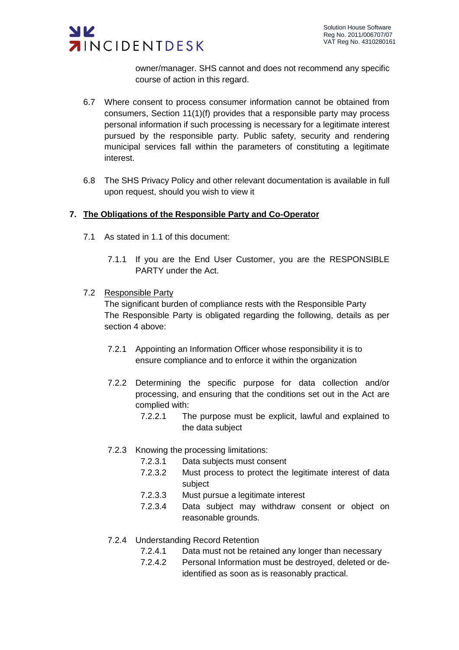

owner/manager. SHS cannot and does not recommend any specific course of action in this regard.

- 6.7 Where consent to process consumer information cannot be obtained from consumers, Section 11(1)(f) provides that a responsible party may process personal information if such processing is necessary for a legitimate interest pursued by the responsible party. Public safety, security and rendering municipal services fall within the parameters of constituting a legitimate interest.
- 6.8 The SHS Privacy Policy and other relevant documentation is available in full upon request, should you wish to view it

#### **7. The Obligations of the Responsible Party and Co-Operator**

- 7.1 As stated in 1.1 of this document:
	- 7.1.1 If you are the End User Customer, you are the RESPONSIBLE PARTY under the Act.
- 7.2 Responsible Party

The significant burden of compliance rests with the Responsible Party The Responsible Party is obligated regarding the following, details as per section 4 above:

- 7.2.1 Appointing an Information Officer whose responsibility it is to ensure compliance and to enforce it within the organization
- 7.2.2 Determining the specific purpose for data collection and/or processing, and ensuring that the conditions set out in the Act are complied with:
	- 7.2.2.1 The purpose must be explicit, lawful and explained to the data subject
- 7.2.3 Knowing the processing limitations:
	- 7.2.3.1 Data subjects must consent
	- 7.2.3.2 Must process to protect the legitimate interest of data subject
	- 7.2.3.3 Must pursue a legitimate interest
	- 7.2.3.4 Data subject may withdraw consent or object on reasonable grounds.
- 7.2.4 Understanding Record Retention
	- 7.2.4.1 Data must not be retained any longer than necessary
	- 7.2.4.2 Personal Information must be destroyed, deleted or deidentified as soon as is reasonably practical.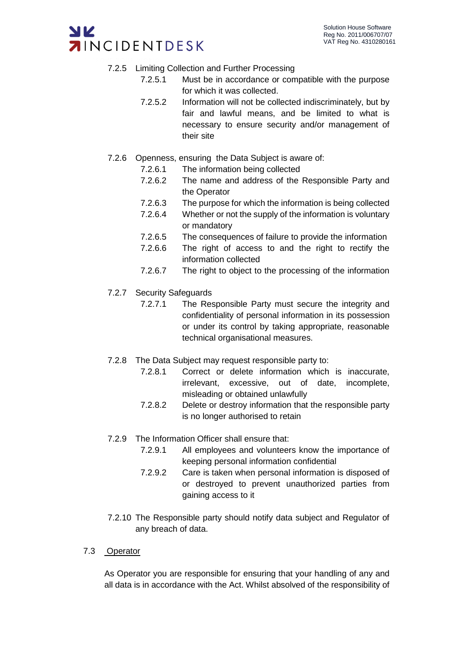

#### 7.2.5 Limiting Collection and Further Processing

- 7.2.5.1 Must be in accordance or compatible with the purpose for which it was collected.
- 7.2.5.2 Information will not be collected indiscriminately, but by fair and lawful means, and be limited to what is necessary to ensure security and/or management of their site
- 7.2.6 Openness, ensuring the Data Subject is aware of:
	- 7.2.6.1 The information being collected
		- 7.2.6.2 The name and address of the Responsible Party and the Operator
		- 7.2.6.3 The purpose for which the information is being collected
	- 7.2.6.4 Whether or not the supply of the information is voluntary or mandatory
	- 7.2.6.5 The consequences of failure to provide the information
	- 7.2.6.6 The right of access to and the right to rectify the information collected
	- 7.2.6.7 The right to object to the processing of the information
- 7.2.7 Security Safeguards
	- 7.2.7.1 The Responsible Party must secure the integrity and confidentiality of personal information in its possession or under its control by taking appropriate, reasonable technical organisational measures.
- 7.2.8 The Data Subject may request responsible party to:
	- 7.2.8.1 Correct or delete information which is inaccurate, irrelevant, excessive, out of date, incomplete, misleading or obtained unlawfully
	- 7.2.8.2 Delete or destroy information that the responsible party is no longer authorised to retain
- 7.2.9 The Information Officer shall ensure that:
	- 7.2.9.1 All employees and volunteers know the importance of keeping personal information confidential
	- 7.2.9.2 Care is taken when personal information is disposed of or destroyed to prevent unauthorized parties from gaining access to it
- 7.2.10 The Responsible party should notify data subject and Regulator of any breach of data.
- 7.3 Operator

As Operator you are responsible for ensuring that your handling of any and all data is in accordance with the Act. Whilst absolved of the responsibility of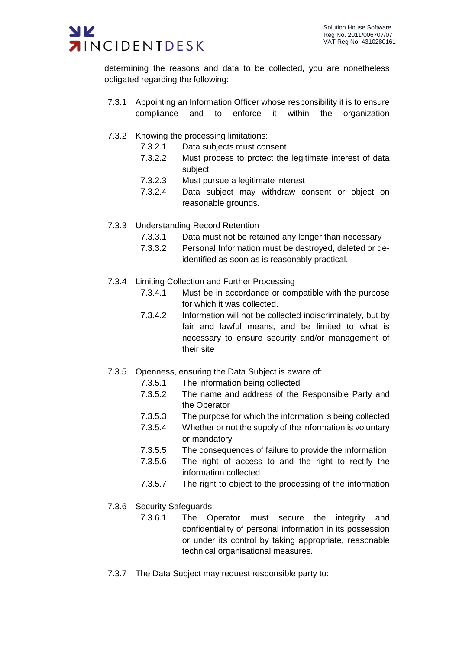

determining the reasons and data to be collected, you are nonetheless obligated regarding the following:

- 7.3.1 Appointing an Information Officer whose responsibility it is to ensure compliance and to enforce it within the organization
- 7.3.2 Knowing the processing limitations:
	- 7.3.2.1 Data subjects must consent
	- 7.3.2.2 Must process to protect the legitimate interest of data subject
	- 7.3.2.3 Must pursue a legitimate interest
	- 7.3.2.4 Data subject may withdraw consent or object on reasonable grounds.
- 7.3.3 Understanding Record Retention
	- 7.3.3.1 Data must not be retained any longer than necessary
	- 7.3.3.2 Personal Information must be destroyed, deleted or deidentified as soon as is reasonably practical.
- 7.3.4 Limiting Collection and Further Processing
	- 7.3.4.1 Must be in accordance or compatible with the purpose for which it was collected.
	- 7.3.4.2 Information will not be collected indiscriminately, but by fair and lawful means, and be limited to what is necessary to ensure security and/or management of their site
- 7.3.5 Openness, ensuring the Data Subject is aware of:
	- 7.3.5.1 The information being collected
	- 7.3.5.2 The name and address of the Responsible Party and the Operator
	- 7.3.5.3 The purpose for which the information is being collected
	- 7.3.5.4 Whether or not the supply of the information is voluntary or mandatory
	- 7.3.5.5 The consequences of failure to provide the information
	- 7.3.5.6 The right of access to and the right to rectify the information collected
	- 7.3.5.7 The right to object to the processing of the information
- 7.3.6 Security Safeguards
	- 7.3.6.1 The Operator must secure the integrity and confidentiality of personal information in its possession or under its control by taking appropriate, reasonable technical organisational measures.
- 7.3.7 The Data Subject may request responsible party to: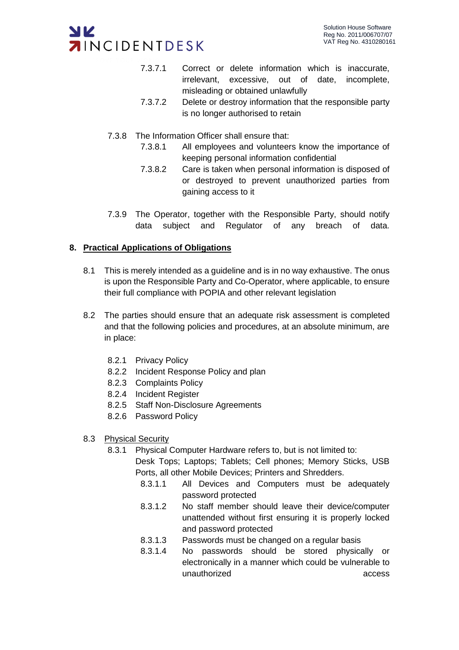

- 7.3.7.1 Correct or delete information which is inaccurate, irrelevant, excessive, out of date, incomplete, misleading or obtained unlawfully
- 7.3.7.2 Delete or destroy information that the responsible party is no longer authorised to retain
- 7.3.8 The Information Officer shall ensure that:
	- 7.3.8.1 All employees and volunteers know the importance of keeping personal information confidential
	- 7.3.8.2 Care is taken when personal information is disposed of or destroyed to prevent unauthorized parties from gaining access to it
- 7.3.9 The Operator, together with the Responsible Party, should notify data subject and Regulator of any breach of data.

#### **8. Practical Applications of Obligations**

- 8.1 This is merely intended as a guideline and is in no way exhaustive. The onus is upon the Responsible Party and Co-Operator, where applicable, to ensure their full compliance with POPIA and other relevant legislation
- 8.2 The parties should ensure that an adequate risk assessment is completed and that the following policies and procedures, at an absolute minimum, are in place:
	- 8.2.1 Privacy Policy
	- 8.2.2 Incident Response Policy and plan
	- 8.2.3 Complaints Policy
	- 8.2.4 Incident Register
	- 8.2.5 Staff Non-Disclosure Agreements
	- 8.2.6 Password Policy
- 8.3 Physical Security
	- 8.3.1 Physical Computer Hardware refers to, but is not limited to: Desk Tops; Laptops; Tablets; Cell phones; Memory Sticks, USB Ports, all other Mobile Devices; Printers and Shredders.
		- 8.3.1.1 All Devices and Computers must be adequately password protected
		- 8.3.1.2 No staff member should leave their device/computer unattended without first ensuring it is properly locked and password protected
		- 8.3.1.3 Passwords must be changed on a regular basis
		- 8.3.1.4 No passwords should be stored physically or electronically in a manner which could be vulnerable to unauthorized access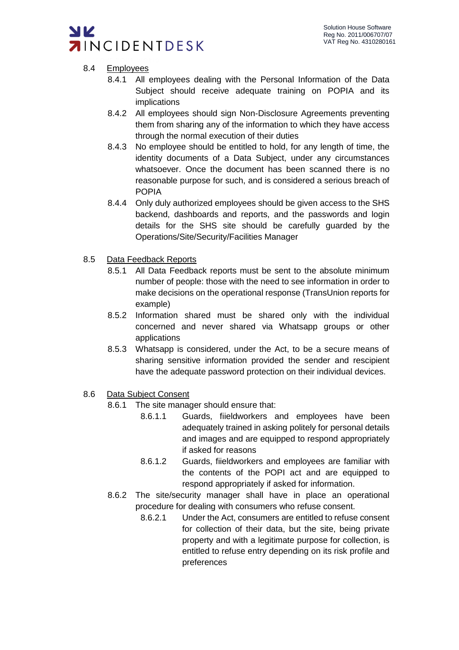

#### 8.4 Employees

- 8.4.1 All employees dealing with the Personal Information of the Data Subject should receive adequate training on POPIA and its implications
- 8.4.2 All employees should sign Non-Disclosure Agreements preventing them from sharing any of the information to which they have access through the normal execution of their duties
- 8.4.3 No employee should be entitled to hold, for any length of time, the identity documents of a Data Subject, under any circumstances whatsoever. Once the document has been scanned there is no reasonable purpose for such, and is considered a serious breach of POPIA
- 8.4.4 Only duly authorized employees should be given access to the SHS backend, dashboards and reports, and the passwords and login details for the SHS site should be carefully guarded by the Operations/Site/Security/Facilities Manager

#### 8.5 Data Feedback Reports

- 8.5.1 All Data Feedback reports must be sent to the absolute minimum number of people: those with the need to see information in order to make decisions on the operational response (TransUnion reports for example)
- 8.5.2 Information shared must be shared only with the individual concerned and never shared via Whatsapp groups or other applications
- 8.5.3 Whatsapp is considered, under the Act, to be a secure means of sharing sensitive information provided the sender and rescipient have the adequate password protection on their individual devices.
- 8.6 Data Subject Consent
	- 8.6.1 The site manager should ensure that:
		- 8.6.1.1 Guards, fiieldworkers and employees have been adequately trained in asking politely for personal details and images and are equipped to respond appropriately if asked for reasons
		- 8.6.1.2 Guards, fiieldworkers and employees are familiar with the contents of the POPI act and are equipped to respond appropriately if asked for information.
	- 8.6.2 The site/security manager shall have in place an operational procedure for dealing with consumers who refuse consent.
		- 8.6.2.1 Under the Act, consumers are entitled to refuse consent for collection of their data, but the site, being private property and with a legitimate purpose for collection, is entitled to refuse entry depending on its risk profile and preferences